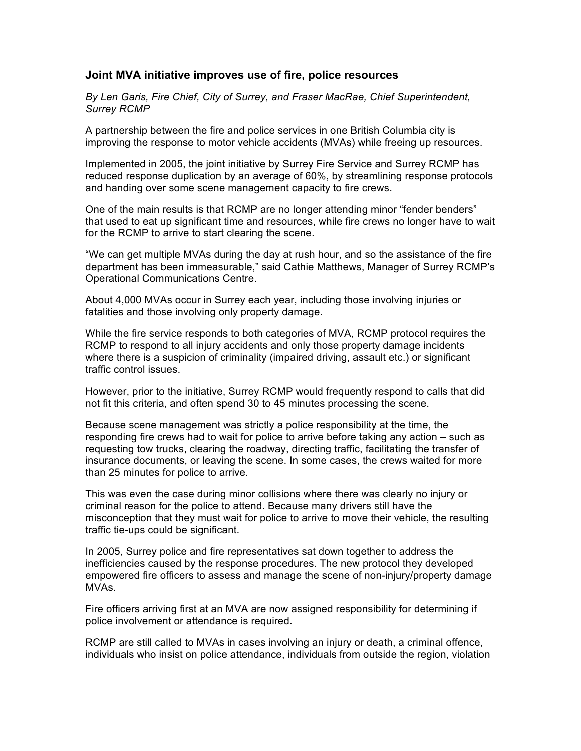## **Joint MVA initiative improves use of fire, police resources**

*By Len Garis, Fire Chief, City of Surrey, and Fraser MacRae, Chief Superintendent, Surrey RCMP*

A partnership between the fire and police services in one British Columbia city is improving the response to motor vehicle accidents (MVAs) while freeing up resources.

Implemented in 2005, the joint initiative by Surrey Fire Service and Surrey RCMP has reduced response duplication by an average of 60%, by streamlining response protocols and handing over some scene management capacity to fire crews.

One of the main results is that RCMP are no longer attending minor "fender benders" that used to eat up significant time and resources, while fire crews no longer have to wait for the RCMP to arrive to start clearing the scene.

"We can get multiple MVAs during the day at rush hour, and so the assistance of the fire department has been immeasurable," said Cathie Matthews, Manager of Surrey RCMP's Operational Communications Centre.

About 4,000 MVAs occur in Surrey each year, including those involving injuries or fatalities and those involving only property damage.

While the fire service responds to both categories of MVA, RCMP protocol requires the RCMP to respond to all injury accidents and only those property damage incidents where there is a suspicion of criminality (impaired driving, assault etc.) or significant traffic control issues.

However, prior to the initiative, Surrey RCMP would frequently respond to calls that did not fit this criteria, and often spend 30 to 45 minutes processing the scene.

Because scene management was strictly a police responsibility at the time, the responding fire crews had to wait for police to arrive before taking any action – such as requesting tow trucks, clearing the roadway, directing traffic, facilitating the transfer of insurance documents, or leaving the scene. In some cases, the crews waited for more than 25 minutes for police to arrive.

This was even the case during minor collisions where there was clearly no injury or criminal reason for the police to attend. Because many drivers still have the misconception that they must wait for police to arrive to move their vehicle, the resulting traffic tie-ups could be significant.

In 2005, Surrey police and fire representatives sat down together to address the inefficiencies caused by the response procedures. The new protocol they developed empowered fire officers to assess and manage the scene of non-injury/property damage MVAs.

Fire officers arriving first at an MVA are now assigned responsibility for determining if police involvement or attendance is required.

RCMP are still called to MVAs in cases involving an injury or death, a criminal offence, individuals who insist on police attendance, individuals from outside the region, violation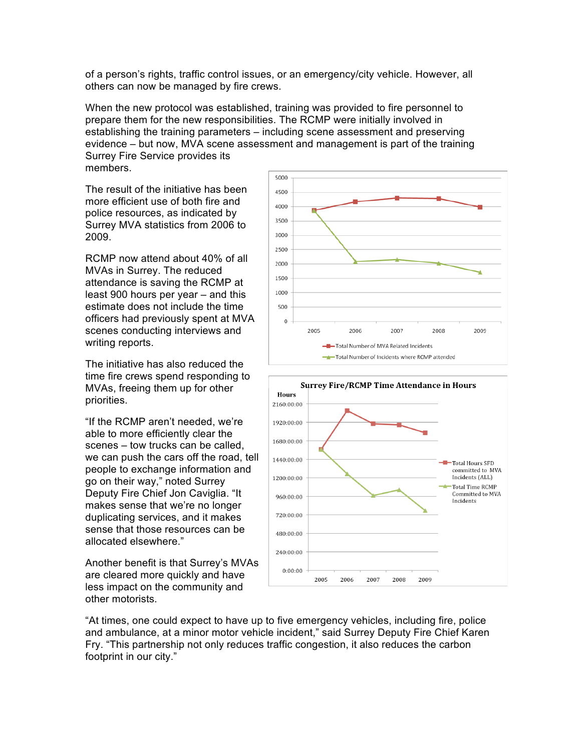of a person's rights, traffic control issues, or an emergency/city vehicle. However, all others can now be managed by fire crews.

When the new protocol was established, training was provided to fire personnel to prepare them for the new responsibilities. The RCMP were initially involved in establishing the training parameters – including scene assessment and preserving evidence – but now, MVA scene assessment and management is part of the training Surrey Fire Service provides its

members.

The result of the initiative has been more efficient use of both fire and police resources, as indicated by Surrey MVA statistics from 2006 to 2009.

RCMP now attend about 40% of all MVAs in Surrey. The reduced attendance is saving the RCMP at least 900 hours per year – and this estimate does not include the time officers had previously spent at MVA scenes conducting interviews and writing reports.

The initiative has also reduced the time fire crews spend responding to MVAs, freeing them up for other priorities.

"If the RCMP aren't needed, we're able to more efficiently clear the scenes – tow trucks can be called, we can push the cars off the road, tell people to exchange information and go on their way," noted Surrey Deputy Fire Chief Jon Caviglia. "It makes sense that we're no longer duplicating services, and it makes sense that those resources can be allocated elsewhere."

Another benefit is that Surrey's MVAs are cleared more quickly and have less impact on the community and other motorists.





"At times, one could expect to have up to five emergency vehicles, including fire, police and ambulance, at a minor motor vehicle incident," said Surrey Deputy Fire Chief Karen Fry. "This partnership not only reduces traffic congestion, it also reduces the carbon footprint in our city."